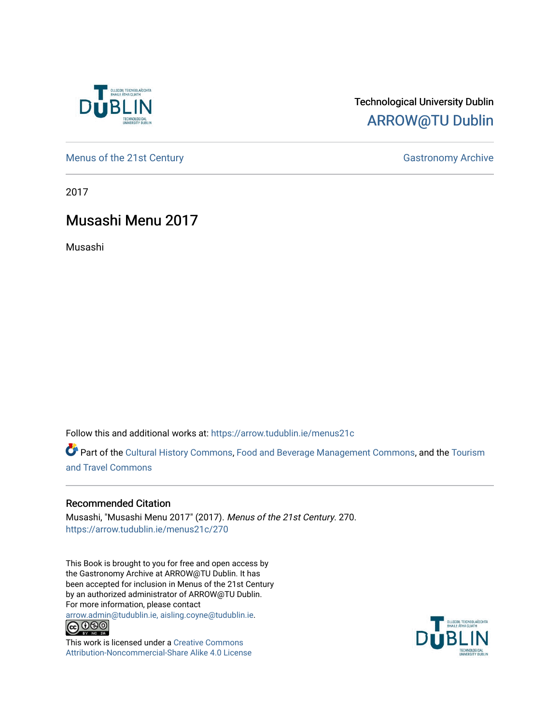

# Technological University Dublin [ARROW@TU Dublin](https://arrow.tudublin.ie/)

[Menus of the 21st Century](https://arrow.tudublin.ie/menus21c) Gastronomy Archive

2017

# Musashi Menu 2017

Musashi

Follow this and additional works at: [https://arrow.tudublin.ie/menus21c](https://arrow.tudublin.ie/menus21c?utm_source=arrow.tudublin.ie%2Fmenus21c%2F270&utm_medium=PDF&utm_campaign=PDFCoverPages) 

Part of the [Cultural History Commons](http://network.bepress.com/hgg/discipline/496?utm_source=arrow.tudublin.ie%2Fmenus21c%2F270&utm_medium=PDF&utm_campaign=PDFCoverPages), [Food and Beverage Management Commons,](http://network.bepress.com/hgg/discipline/1089?utm_source=arrow.tudublin.ie%2Fmenus21c%2F270&utm_medium=PDF&utm_campaign=PDFCoverPages) and the [Tourism](http://network.bepress.com/hgg/discipline/1082?utm_source=arrow.tudublin.ie%2Fmenus21c%2F270&utm_medium=PDF&utm_campaign=PDFCoverPages) [and Travel Commons](http://network.bepress.com/hgg/discipline/1082?utm_source=arrow.tudublin.ie%2Fmenus21c%2F270&utm_medium=PDF&utm_campaign=PDFCoverPages)

# Recommended Citation

Musashi, "Musashi Menu 2017" (2017). Menus of the 21st Century. 270. [https://arrow.tudublin.ie/menus21c/270](https://arrow.tudublin.ie/menus21c/270?utm_source=arrow.tudublin.ie%2Fmenus21c%2F270&utm_medium=PDF&utm_campaign=PDFCoverPages) 

This Book is brought to you for free and open access by the Gastronomy Archive at ARROW@TU Dublin. It has been accepted for inclusion in Menus of the 21st Century by an authorized administrator of ARROW@TU Dublin. For more information, please contact

[arrow.admin@tudublin.ie, aisling.coyne@tudublin.ie](mailto:arrow.admin@tudublin.ie,%20aisling.coyne@tudublin.ie).<br>
© 0 9 9 1



This work is licensed under a [Creative Commons](http://creativecommons.org/licenses/by-nc-sa/4.0/) [Attribution-Noncommercial-Share Alike 4.0 License](http://creativecommons.org/licenses/by-nc-sa/4.0/)

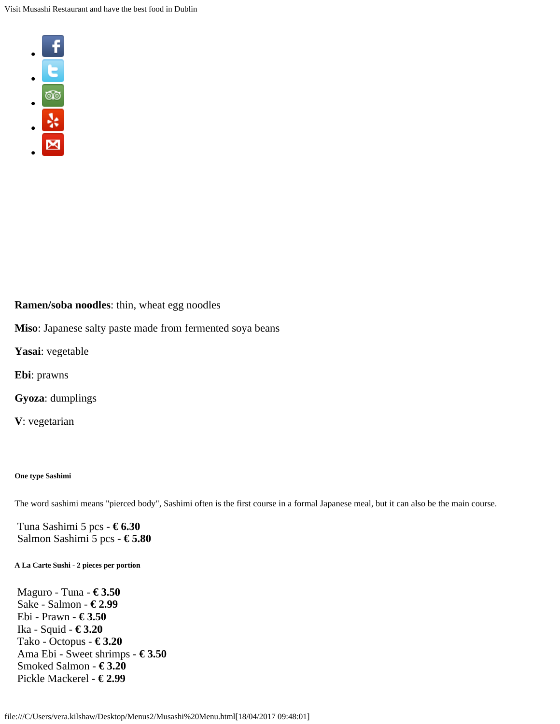

# **Ramen/soba noodles**: thin, wheat egg noodles

**Miso**: Japanese salty paste made from fermented soya beans

**Yasai**: vegetable

**Ebi**: prawns

**Gyoza**: dumplings

**V**: vegetarian

### **One type Sashimi**

The word sashimi means "pierced body", Sashimi often is the first course in a formal Japanese meal, but it can also be the main course.

Tuna Sashimi 5 pcs - **€ 6.30** Salmon Sashimi 5 pcs - **€ 5.80**

#### **A La Carte Sushi - 2 pieces per portion**

Maguro - Tuna - **€ 3.50** Sake - Salmon - **€ 2.99** Ebi - Prawn - **€ 3.50** Ika - Squid - **€ 3.20** Tako - Octopus - **€ 3.20** Ama Ebi - Sweet shrimps - **€ 3.50** Smoked Salmon - **€ 3.20** Pickle Mackerel - **€ 2.99**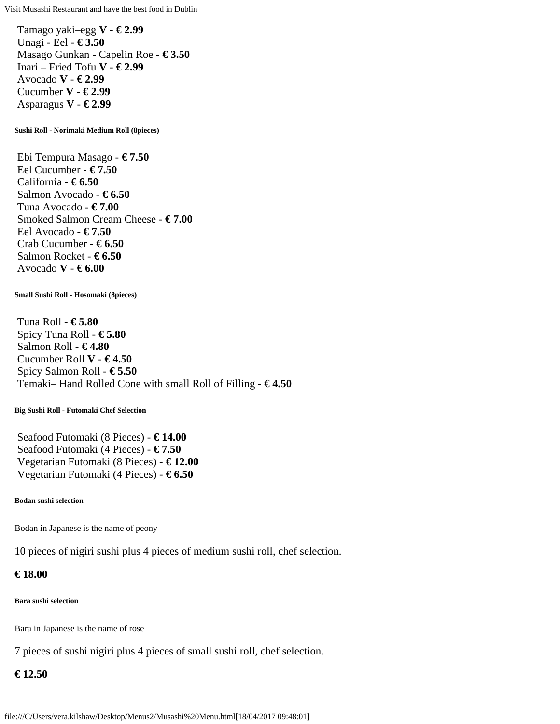Tamago yaki–egg **V** - **€ 2.99** Unagi - Eel - **€ 3.50** Masago Gunkan - Capelin Roe - **€ 3.50** Inari – Fried Tofu **V** - **€ 2.99** Avocado **V** - **€ 2.99** Cucumber **V** - **€ 2.99** Asparagus **V** - **€ 2.99**

**Sushi Roll - Norimaki Medium Roll (8pieces)**

Ebi Tempura Masago - **€ 7.50** Eel Cucumber - **€ 7.50** California - **€ 6.50** Salmon Avocado - **€ 6.50** Tuna Avocado - **€ 7.00** Smoked Salmon Cream Cheese - **€ 7.00** Eel Avocado - **€ 7.50** Crab Cucumber - **€ 6.50** Salmon Rocket - **€ 6.50** Avocado **V** - **€ 6.00**

#### **Small Sushi Roll - Hosomaki (8pieces)**

Tuna Roll - **€ 5.80** Spicy Tuna Roll - **€ 5.80** Salmon Roll - **€ 4.80** Cucumber Roll **V** - **€ 4.50** Spicy Salmon Roll - **€ 5.50** Temaki– Hand Rolled Cone with small Roll of Filling - **€ 4.50**

#### **Big Sushi Roll - Futomaki Chef Selection**

Seafood Futomaki (8 Pieces) - **€ 14.00** Seafood Futomaki (4 Pieces) - **€ 7.50** Vegetarian Futomaki (8 Pieces) - **€ 12.00** Vegetarian Futomaki (4 Pieces) - **€ 6.50**

#### **Bodan sushi selection**

Bodan in Japanese is the name of peony

10 pieces of nigiri sushi plus 4 pieces of medium sushi roll, chef selection.

### **€ 18.00**

#### **Bara sushi selection**

Bara in Japanese is the name of rose

7 pieces of sushi nigiri plus 4 pieces of small sushi roll, chef selection.

### **€ 12.50**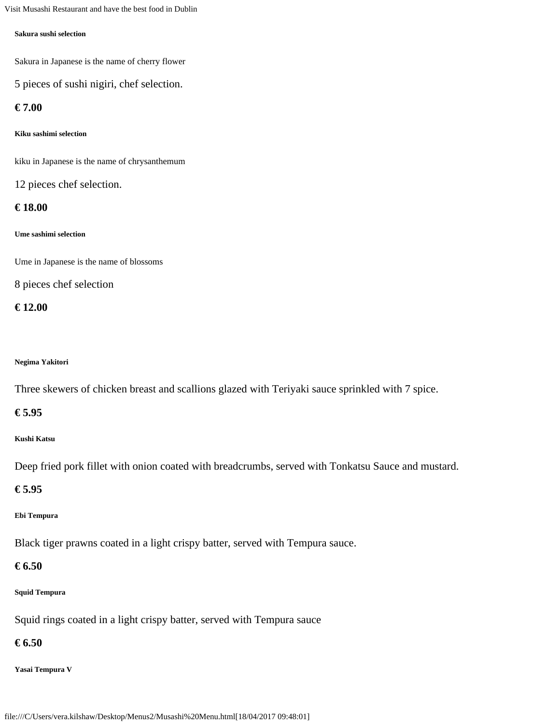#### **Sakura sushi selection**

Sakura in Japanese is the name of cherry flower

5 pieces of sushi nigiri, chef selection.

# **€ 7.00**

**Kiku sashimi selection**

kiku in Japanese is the name of chrysanthemum

12 pieces chef selection.

### **€ 18.00**

#### **Ume sashimi selection**

Ume in Japanese is the name of blossoms

8 pieces chef selection

### **€ 12.00**

### **Negima Yakitori**

Three skewers of chicken breast and scallions glazed with Teriyaki sauce sprinkled with 7 spice.

# **€ 5.95**

### **Kushi Katsu**

Deep fried pork fillet with onion coated with breadcrumbs, served with Tonkatsu Sauce and mustard.

### **€ 5.95**

### **Ebi Tempura**

Black tiger prawns coated in a light crispy batter, served with Tempura sauce.

# **€ 6.50**

### **Squid Tempura**

Squid rings coated in a light crispy batter, served with Tempura sauce

# **€ 6.50**

### **Yasai Tempura V**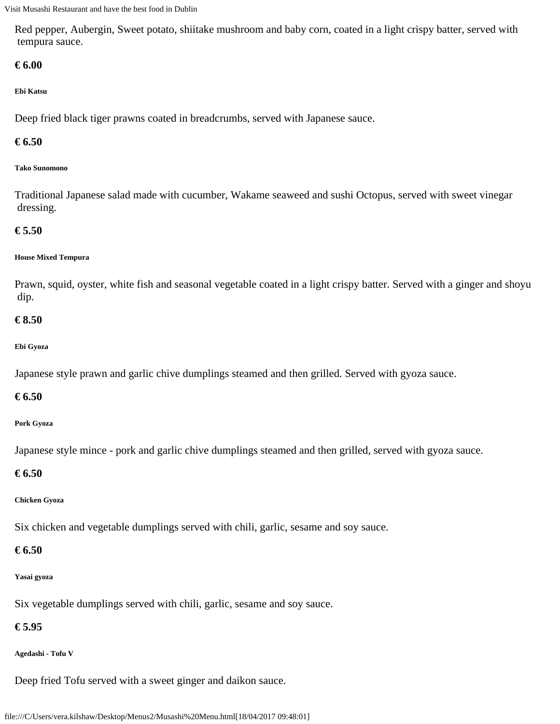Red pepper, Aubergin, Sweet potato, shiitake mushroom and baby corn, coated in a light crispy batter, served with tempura sauce.

# **€ 6.00**

# **Ebi Katsu**

Deep fried black tiger prawns coated in breadcrumbs, served with Japanese sauce.

# **€ 6.50**

### **Tako Sunomono**

Traditional Japanese salad made with cucumber, Wakame seaweed and sushi Octopus, served with sweet vinegar dressing.

# **€ 5.50**

### **House Mixed Tempura**

Prawn, squid, oyster, white fish and seasonal vegetable coated in a light crispy batter. Served with a ginger and shoyu dip.

# **€ 8.50**

# **Ebi Gyoza**

Japanese style prawn and garlic chive dumplings steamed and then grilled. Served with gyoza sauce.

# **€ 6.50**

### **Pork Gyoza**

Japanese style mince - pork and garlic chive dumplings steamed and then grilled, served with gyoza sauce.

# **€ 6.50**

# **Chicken Gyoza**

Six chicken and vegetable dumplings served with chili, garlic, sesame and soy sauce.

# **€ 6.50**

# **Yasai gyoza**

Six vegetable dumplings served with chili, garlic, sesame and soy sauce.

# **€ 5.95**

### **Agedashi - Tofu V**

Deep fried Tofu served with a sweet ginger and daikon sauce.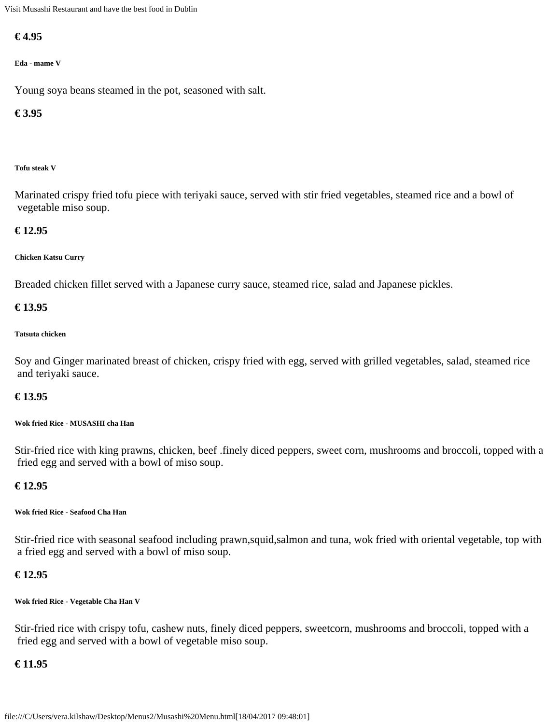# **€ 4.95**

## **Eda - mame V**

Young soya beans steamed in the pot, seasoned with salt.

# **€ 3.95**

### **Tofu steak V**

Marinated crispy fried tofu piece with teriyaki sauce, served with stir fried vegetables, steamed rice and a bowl of vegetable miso soup.

# **€ 12.95**

# **Chicken Katsu Curry**

Breaded chicken fillet served with a Japanese curry sauce, steamed rice, salad and Japanese pickles.

# **€ 13.95**

### **Tatsuta chicken**

Soy and Ginger marinated breast of chicken, crispy fried with egg, served with grilled vegetables, salad, steamed rice and teriyaki sauce.

# **€ 13.95**

### **Wok fried Rice - MUSASHI cha Han**

Stir-fried rice with king prawns, chicken, beef .finely diced peppers, sweet corn, mushrooms and broccoli, topped with a fried egg and served with a bowl of miso soup.

# **€ 12.95**

### **Wok fried Rice - Seafood Cha Han**

Stir-fried rice with seasonal seafood including prawn,squid,salmon and tuna, wok fried with oriental vegetable, top with a fried egg and served with a bowl of miso soup.

# **€ 12.95**

### **Wok fried Rice - Vegetable Cha Han V**

Stir-fried rice with crispy tofu, cashew nuts, finely diced peppers, sweetcorn, mushrooms and broccoli, topped with a fried egg and served with a bowl of vegetable miso soup.

# **€ 11.95**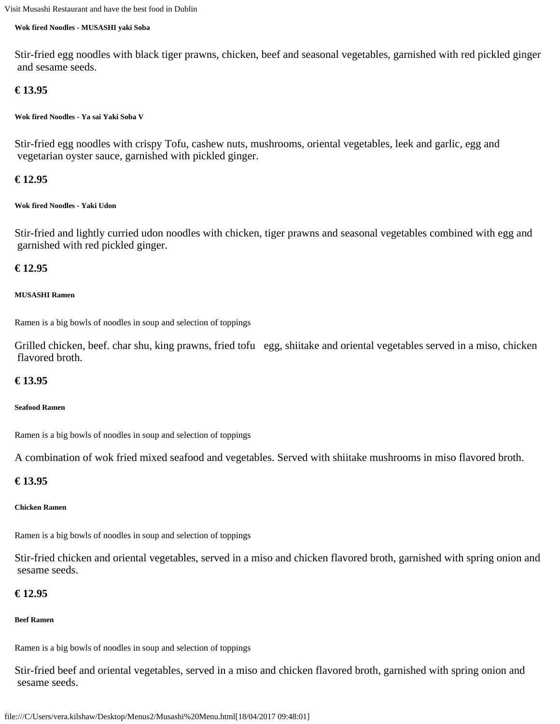#### **Wok fired Noodles - MUSASHI yaki Soba**

Stir-fried egg noodles with black tiger prawns, chicken, beef and seasonal vegetables, garnished with red pickled ginger and sesame seeds.

# **€ 13.95**

**Wok fired Noodles - Ya sai Yaki Soba V**

Stir-fried egg noodles with crispy Tofu, cashew nuts, mushrooms, oriental vegetables, leek and garlic, egg and vegetarian oyster sauce, garnished with pickled ginger.

## **€ 12.95**

#### **Wok fired Noodles - Yaki Udon**

Stir-fried and lightly curried udon noodles with chicken, tiger prawns and seasonal vegetables combined with egg and garnished with red pickled ginger.

### **€ 12.95**

#### **MUSASHI Ramen**

Ramen is a big bowls of noodles in soup and selection of toppings

Grilled chicken, beef. char shu, king prawns, fried tofu egg, shiitake and oriental vegetables served in a miso, chicken flavored broth.

### **€ 13.95**

#### **Seafood Ramen**

Ramen is a big bowls of noodles in soup and selection of toppings

A combination of wok fried mixed seafood and vegetables. Served with shiitake mushrooms in miso flavored broth.

### **€ 13.95**

### **Chicken Ramen**

Ramen is a big bowls of noodles in soup and selection of toppings

Stir-fried chicken and oriental vegetables, served in a miso and chicken flavored broth, garnished with spring onion and sesame seeds.

# **€ 12.95**

### **Beef Ramen**

Ramen is a big bowls of noodles in soup and selection of toppings

Stir-fried beef and oriental vegetables, served in a miso and chicken flavored broth, garnished with spring onion and sesame seeds.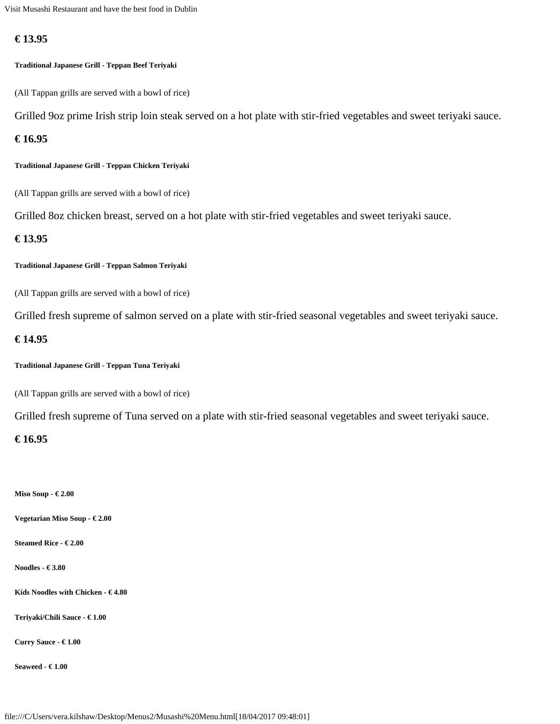# **€ 13.95**

## **Traditional Japanese Grill - Teppan Beef Teriyaki**

(All Tappan grills are served with a bowl of rice)

Grilled 9oz prime Irish strip loin steak served on a hot plate with stir-fried vegetables and sweet teriyaki sauce.

# **€ 16.95**

**Traditional Japanese Grill - Teppan Chicken Teriyaki**

(All Tappan grills are served with a bowl of rice)

Grilled 8oz chicken breast, served on a hot plate with stir-fried vegetables and sweet teriyaki sauce.

# **€ 13.95**

**Traditional Japanese Grill - Teppan Salmon Teriyaki**

(All Tappan grills are served with a bowl of rice)

Grilled fresh supreme of salmon served on a plate with stir-fried seasonal vegetables and sweet teriyaki sauce.

# **€ 14.95**

**Traditional Japanese Grill - Teppan Tuna Teriyaki**

(All Tappan grills are served with a bowl of rice)

Grilled fresh supreme of Tuna served on a plate with stir-fried seasonal vegetables and sweet teriyaki sauce.

### **€ 16.95**

**Miso Soup - € 2.00**

**Vegetarian Miso Soup - € 2.00**

**Steamed Rice - € 2.00**

**Noodles - € 3.80**

**Kids Noodles with Chicken - € 4.80**

**Teriyaki/Chili Sauce - € 1.00**

**Curry Sauce - € 1.00**

**Seaweed - € 1.00**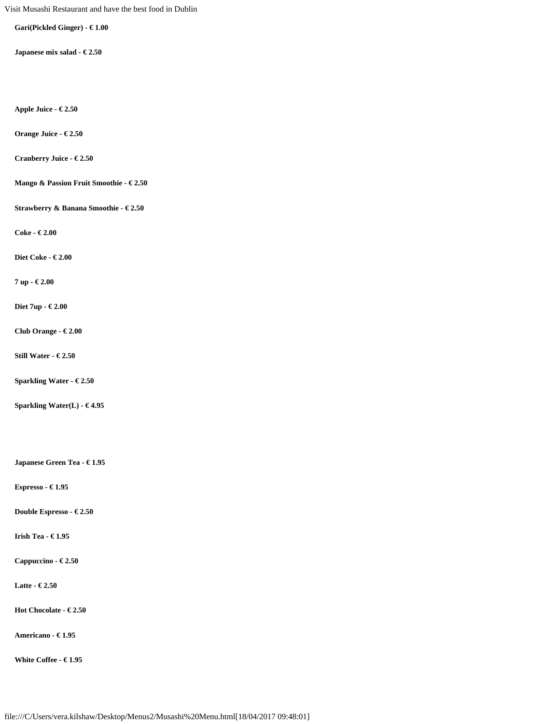**Gari(Pickled Ginger) - € 1.00**

**Japanese mix salad - € 2.50**

**Apple Juice - € 2.50**

**Orange Juice - € 2.50**

**Cranberry Juice - € 2.50**

**Mango & Passion Fruit Smoothie - € 2.50**

**Strawberry & Banana Smoothie - € 2.50**

**Coke - € 2.00**

**Diet Coke - € 2.00**

**7 up - € 2.00**

**Diet 7up - € 2.00**

**Club Orange - € 2.00**

**Still Water - € 2.50**

**Sparkling Water - € 2.50**

**Sparkling Water(L) - € 4.95**

**Japanese Green Tea - € 1.95**

**Espresso - € 1.95**

**Double Espresso - € 2.50**

**Irish Tea - € 1.95**

**Cappuccino - € 2.50**

**Latte - € 2.50**

**Hot Chocolate - € 2.50**

**Americano - € 1.95**

**White Coffee - € 1.95**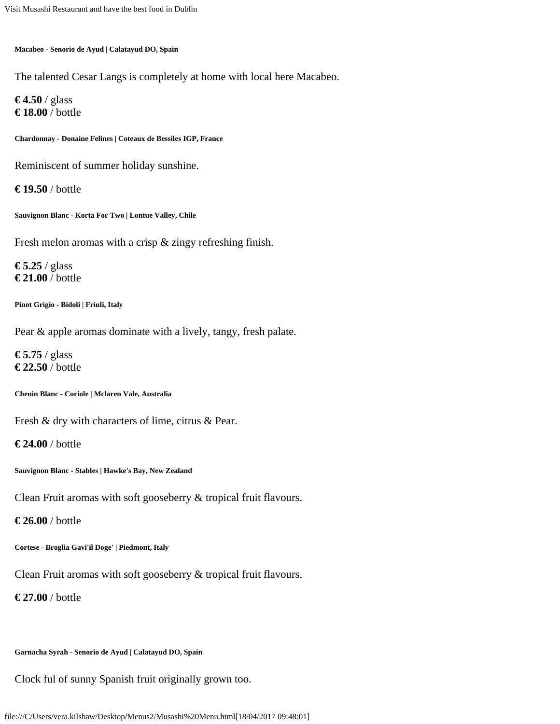**Macabeo - Senorio de Ayud | Calatayud DO, Spain**

The talented Cesar Langs is completely at home with local here Macabeo.

**€ 4.50** / glass **€ 18.00** / bottle

**Chardonnay - Donaine Felines | Coteaux de Bessiles IGP, France**

Reminiscent of summer holiday sunshine.

**€ 19.50** / bottle

**Sauvignon Blanc - Korta For Two | Lontue Valley, Chile**

Fresh melon aromas with a crisp & zingy refreshing finish.

**€ 5.25** / glass **€ 21.00** / bottle

**Pinot Grigio - Bidoli | Friuli, Italy**

Pear & apple aromas dominate with a lively, tangy, fresh palate.

**€ 5.75** / glass **€ 22.50** / bottle

**Chenin Blanc - Coriole | Mclaren Vale, Australia**

Fresh & dry with characters of lime, citrus & Pear.

**€ 24.00** / bottle

**Sauvignon Blanc - Stables | Hawke's Bay, New Zealand**

Clean Fruit aromas with soft gooseberry & tropical fruit flavours.

**€ 26.00** / bottle

**Cortese - Broglia Gavi'il Doge' | Piedmont, Italy**

Clean Fruit aromas with soft gooseberry & tropical fruit flavours.

**€ 27.00** / bottle

**Garnacha Syrah - Senorio de Ayud | Calatayud DO, Spain**

Clock ful of sunny Spanish fruit originally grown too.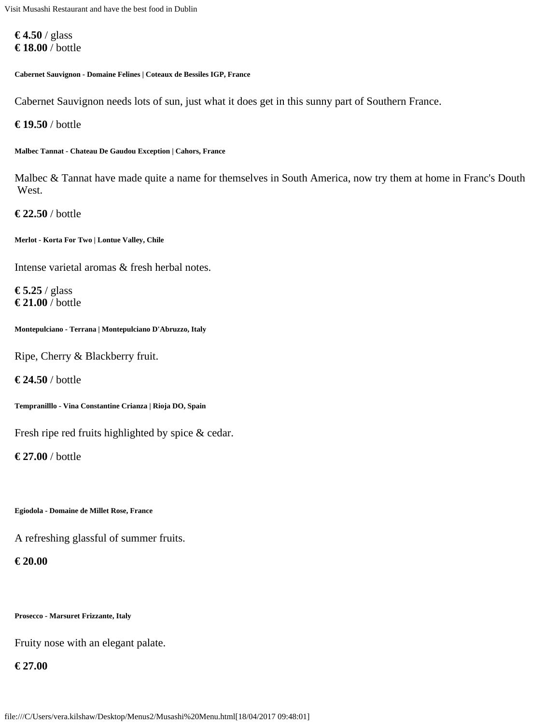**€ 4.50** / glass **€ 18.00** / bottle

**Cabernet Sauvignon - Domaine Felines | Coteaux de Bessiles IGP, France**

Cabernet Sauvignon needs lots of sun, just what it does get in this sunny part of Southern France.

**€ 19.50** / bottle

**Malbec Tannat - Chateau De Gaudou Exception | Cahors, France**

Malbec & Tannat have made quite a name for themselves in South America, now try them at home in Franc's Douth West.

**€ 22.50** / bottle

**Merlot - Korta For Two | Lontue Valley, Chile**

Intense varietal aromas & fresh herbal notes.

**€ 5.25** / glass **€ 21.00** / bottle

**Montepulciano - Terrana | Montepulciano D'Abruzzo, Italy**

Ripe, Cherry & Blackberry fruit.

**€ 24.50** / bottle

**Tempranilllo - Vina Constantine Crianza | Rioja DO, Spain**

Fresh ripe red fruits highlighted by spice & cedar.

**€ 27.00** / bottle

**Egiodola - Domaine de Millet Rose, France**

A refreshing glassful of summer fruits.

**€ 20.00**

**Prosecco - Marsuret Frizzante, Italy**

Fruity nose with an elegant palate.

**€ 27.00**